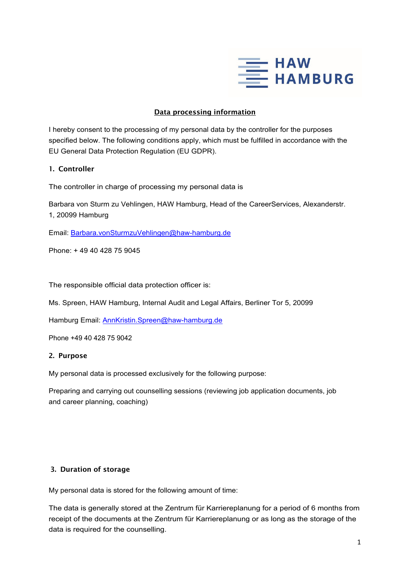

## Data processing information

I hereby consent to the processing of my personal data by the controller for the purposes specified below. The following conditions apply, which must be fulfilled in accordance with the EU General Data Protection Regulation (EU GDPR).

## 1. Controller

The controller in charge of processing my personal data is

Barbara von Sturm zu Vehlingen, HAW Hamburg, Head of the CareerServices, Alexanderstr. 1, 20099 Hamburg

Email: Barbara.vonSturmzuVehlingen@haw-hamburg.de

Phone: + 49 40 428 75 9045

The responsible official data protection officer is:

Ms. Spreen, HAW Hamburg, Internal Audit and Legal Affairs, Berliner Tor 5, 20099

Hamburg Email: AnnKristin.Spreen@haw-hamburg.de

Phone +49 40 428 75 9042

#### 2. Purpose

My personal data is processed exclusively for the following purpose:

Preparing and carrying out counselling sessions (reviewing job application documents, job and career planning, coaching)

#### 3. Duration of storage

My personal data is stored for the following amount of time:

The data is generally stored at the Zentrum für Karriereplanung for a period of 6 months from receipt of the documents at the Zentrum für Karriereplanung or as long as the storage of the data is required for the counselling.